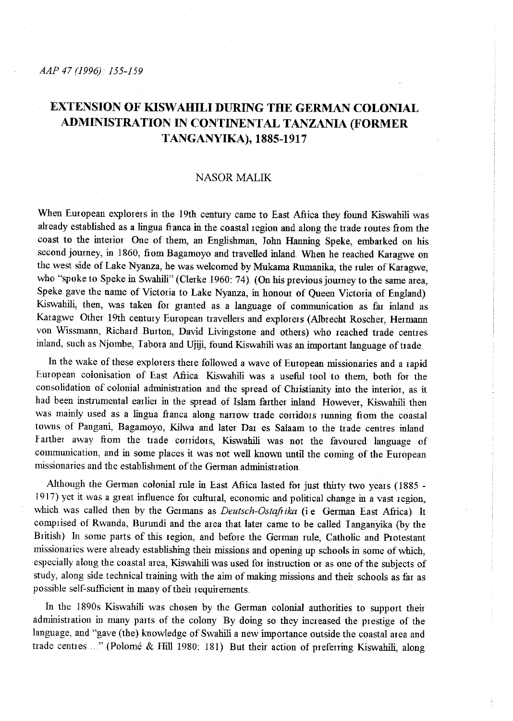# **EXTENSION OF KISW AHILI DURING THE GERMAN COLONIAL ADMINISTRATION IN CONTINENTAL TANZANIA (FORMER TANGANYIKA), 1885-1917**

## NASOR MALIK

When European explorers in the 19th century came to East Africa they found Kiswahili was already established as a lingua franca in the coastal region and along the trade routes from the coast to the interior One of them, an Englishman, John Hanning Speke, embarked on his second journey, in 1860, from Bagamoyo and travelled inland. When he reached Karagwe on the west side of Lake Nyanza, he was welcomed by Mukama Rumanika, the ruler of Karagwe, who "spoke to Speke in Swahili" (Clerke 1960: 74). (On his previous journey to the same area, Speke gave the name of Victoria to Lake Nyanza, in honour of Queen Victoria of England) Kiswahili, then, was taken for granted as a language of communication as far inland as Karagwe Other 19th century European travellers and explorers (Albrecht Roscher, Hermann von Wissmann, Richard Burton, David Livingstone and others) who reached trade centres inland, such as Njombe, I abora and Ujiji, found Kiswahili was an inrportant language of trade

In the wake of these explorers there followed a wave of European missionaries and a rapid European colonisation of East Afiica. Kiswahili was a useful tool to them, both for the consolidation of colonial administration and the spread of Christianity into the interior, as it had been instrumental earlier in the spread of Islam farther inland. However, Kiswahili then was mainly used as a lingua fianca along nanow trade conidors running from the coastal towns of Pangani, Bagamoyo, Kilwa and later Dar es Salaam to the trade centres inland Farther away from the trade corridors, Kiswahili was not the favoured language of communication, and in some places it was not well known until the coming of the European missionaries and the establishment of the German administration

Although the German colonial rule in East Afiica lasted for just thirty two years ( 1885 - 1917) yet it was a great influence for cultural, economic and political change in a vast region, which was called then by the Germans as *Deutsch-Ostaftika* (i.e. German East Afiica) It comprised of Rwanda, Burundi and the area that later came to be called Tanganyika (by the British) In some parts of this region, and before the German rule, Catholic and Protestant missionaries were aheady establishing their missions and opening up schools in some of which, especially along the coastal area, Kiswahili was used for instruction or as one ofthe subjects of study, along side technical training with the aim of making missions and their schools as far as possible self-sufficient in many of their requirements.

In the 1890s Kiswahili was chosen by the German colonial authorities to support their administration in many parts of the colony By doing so they increased the prestige of the language, and "gave (the) knowledge of Swahili a new importance outside the coastal area and trade centres ..." (Polomé & Hill 1980: 181) But their action of preferring Kiswahili, along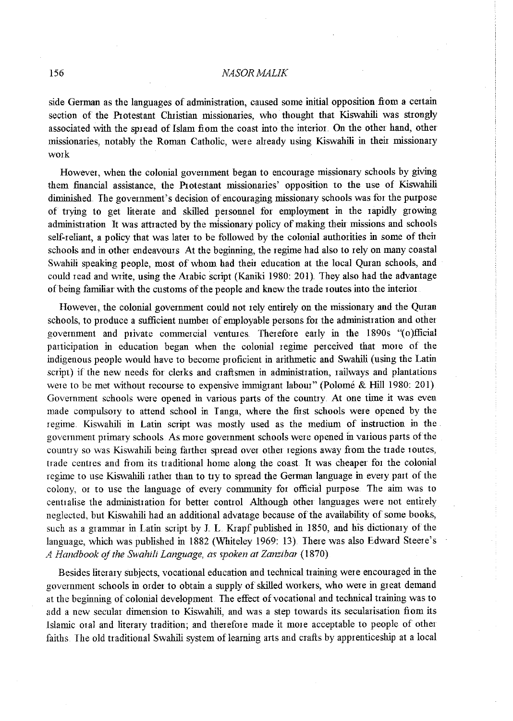#### 156 *NASORMALIK*

side German as the languages of administration, caused some initial opposition from a certain section of the Protestant Christian missionaries, who thought that Kiswahili was strongly associated with the spread of Islam from the coast into the interior. On the other hand, other missionaries, notably the Roman Catholic, were aheady using Kiswahili in their missionary work

However, when the colonial govermnent began to encourage missionary schools by giving them financial assistance, the Protestant missionaries' opposition to the use of Kiswahili diminished. The government's decision of encouraging missionary schools was for the purpose of trying to get literate and skilled personnel for employment in the rapidly growing administration It was attracted by the missionary policy of making their missions and schools self-reliant, a policy that was later to be followed by the colonial authorities in some of their schools and in other endeavours At the beginning, the regime had also to rely on many coastal Swahili speaking people, most of whom had their education at the local Quran schools, and could read and write, using the Arabic script (Kaniki 1980: 201). They also had the advantage of being familiar with the customs of the people and knew the trade routes into the interior

However, the colonial govermnent could not rely entirely on the missionary and the Quran schools, to produce a sufficient number of employable persons for the administration and other government and private commercial ventures. Therefore early in the 1890s "(o)fficial participation in education began when the colonial regime perceived that more of the indigenous people would have to become proficient in arithmetic and Swahili (using the Latin script) if the new needs for clerks and craftsmen in administration, railways and plantations were to be met without recourse to expensive immigrant labour" (Polomé & Hill 1980: 201). Government schools were opened in various parts of the country. At one time it was even made compulsory to attend school in I anga, where the first schools were opened by the regime. Kiswahili in Latin script was mostly used as the medium of instruction in the government primary schools. As more government schools were opened in various parts of the country so was Kiswahili being farther spread over other regions away from the trade routes, trade centres and from its traditional home along the coast. It was cheaper for the colonial regime to use Kiswahili rather than to try to spread the German language in every part of the colony, or to use the language of every community for official purpose. The aim was to centralise the administration for better control Although other languages were not entirely neglected, but Kiswahili had an additional advatage because of the availability of some books, such as a grammar in Latin script by l L Kiapf published in 1850, and his dictionary of the language, which was published in 1882 (Whiteley 1969: 13). There was also Edward Steere's *A Handbook of the Swahili Language, as spoken at Zanzibar* (1870)

Besides literary subjects, vocational education and technical training were encouraged in the govermnent schools in order to obtain a supply of skilled workers, who were in great demand at the beginning of colonial development. The effect of vocational and technical training was to add a new secular dimension to Kiswahili, and was a step towards its secularisation from its Islamic oral and literary tradition; and therefore made it more acceptable to people of other faiths. The old traditional Swahili system of learning arts and crafts by apprenticeship at a local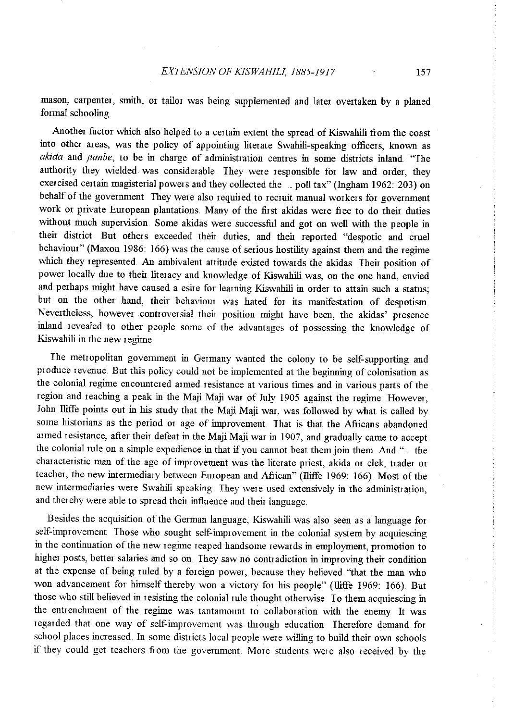mason, carpenter, smith, or tailor was being supplemented and later overtaken by a planed formal schooling

Another factor which also helped to a certain extent the spread of Kiswahili from the coast into other areas, was the policy of appointing literate Swahili-speaking officers, known as *akida* and *jumbe*, to be in charge of administration centres in some districts inland. "The authority they wielded was considerable They were responsible for law and order, they exercised certain magisterial powers and they collected the poll tax" (Ingham 1962: 203) on behalf of the government They were also required to recruit manual workers for government work or private European plantations. Many of the first akidas were fiee to do their duties without much supervision. Some akidas were successful and got on well with the people in their district But others exceeded their duties, and their reported "despotic and cruel behaviour" (Maxon 1986: 166) was the cause of serious hostility against them and the regime which they represented. An ambivalent attitude existed towards the akidas Their position of power locally due to their literacy and knowledge of Kiswahili was, on the one hand, envied and perhaps might have caused a esire for learning Kiswahili in order to attain such a status; but on the other hand, their behaviour was hated for its manifestation of despotism Nevertheless, however conttoversial their position might have been, the akidas' presence inland revealed to other people some of the advantages of possessing the knowledge of Kiswahili in the new regime

The metropolitan government in Germany wanted the colony to be self-supporting and **p1oduce Ievenue. But this policy could not be implemented at the beginning of colonisation as**  the colonial regime encountered armed resistance at various times and in various parts of the region and reaching a peak in the Maji Maji war of July 1905 against the regime. However, John lliffe points out in his study that the Maji Maji war, was followed by what is called by some historians as the period or age of improvement. That is that the Africans abandoned armed resistance, after their defeat in the Maji Maji war in 1907, and gradually came to accept the colonial rule on a simple expedience in that if you cannot beat them join them And "... the characteristic man of the age of improvement was the literate priest, akida or clek, trader or teacher, the new intermediary between European and African" (lliffe 1969: 166). Most of the new intermediaries were Swahili speaking They were used extensively in the administration, and thereby were able to spread their influence and their language

Besides the acquisition of the German language, Kiswahili was also seen as a language for self-improvement Those who sought self-improvement in the colonial system by acquiescing in the continuation of the new regime reaped handsome rewards in employment, promotion to higher posts, better salaries and so on. They saw no contradiction in improving their condition at the expense of being ruled by a foreign power, because they believed "that the man who won advancement for himself thereby won a victory for his people" (lliffe 1969: 166). But those who still believed in resisting the colonial rule thought otherwise. To them acquiescing in the entrenchment of the regime was tantamount to collaboration with the enemy It was regarded that one way of self-improvement was through education Therefore demand for school places increased. In some districts local people were willing to build their own schools if they could get teachers fiom the government More students were also received by the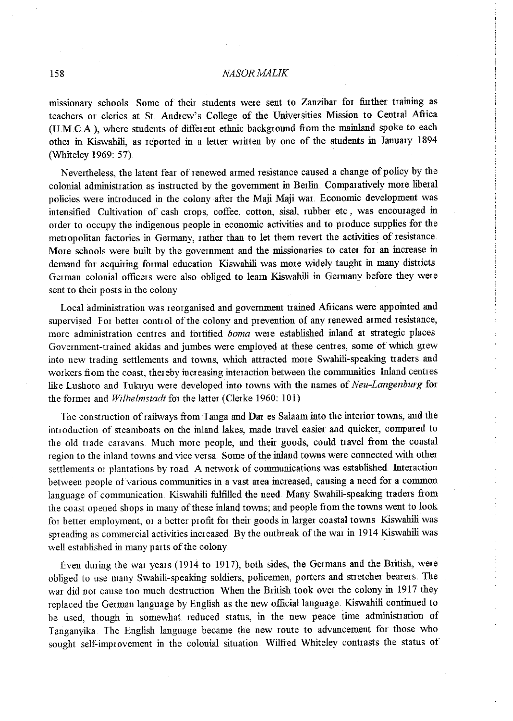### 158 *NASORMALIK*

missionary schools Some of their students were sent to Zanzibar for further training as teachers or clerics at St. Andrew's College of the Universities Mission to Central Africa (U.M.C.A), where students of different ethnic background from the mainland spoke to each other in Kiswahili, as reported in a letter written by one of the students in January 1894 (Whiteley 1969: 57)

Nevertheless, the latent fear of renewed armed resistmce caused a chmge of policy by the colonial administration as instructed by the government in Berlin Comparatively more liberal policies were introduced in the colony after the Maji Maji war. Economic development was intensified. Cultivation of cash crops, coffee, cotton, sisal, rubber etc, was encouraged in order to occupy the indigenous people in economic activities and to produce supplies for the metropolitan factories in Germany, rather than to let them revert the activities of resistance More schools were built by the government and the missionaries to cater for an increase in demand for acquiring formal education. Kiswahili was more widely taught in many districts German colonial officers were also obliged to learn Kiswahili in Germany before they were sent to their posts in the colony

Local administration was reorganised and government trained Africans were appointed and supervised. For better control of the colony and prevention of any renewed armed resistance, more administration centres and fortified *boma* were established inlmd at strategic places Government-trained akidas and jumbes were employed at these centres, some of which grew into new trading settlements and towns, which attracted more Swahili-speaking traders and workers from the coast, thereby increasing interaction between the communities Inland centres like Lushoto and Tukuyu were developed into towns with the names of *Neu-Langenburg* for the former and *Wilhelmstadt* for the latter (Clerke 1960: 101)

The construction of railways from Tanga and Dar es Salaam into the interior towns, and the introduction of steamboats on the inland lakes, made travel easier and quicker, compared to the old trade caravans. Much more people, md their goods, could travel from the coastal region to the inland towns and vice versa. Some of the inland towns were connected with other settlements or plantations by road A network of communications was established. Interaction between people of various communities in a vast area increased, causing a need for a common language of communication. Kiswahili fulfilled the need Many Swahili-speaking traders from the coast opened shops in many of these inland towns; and people from the towns went to look for better employment, or a better profit for their goods in larger coastal towns Kiswahili was spreading as commercial activities increased. By the outbreak of the war in 1914 Kiswahili was well established in many parts of the colony.

Even during the war years (1914 to 1917), both sides, the Germans and the British, were obliged to use many Swahili-speaking soldiers, policemen, porters and stretcher bearers. The war did not cause too much destruction. When the British took over the colony in 1917 they replaced the German language by English as the new official language. Kiswahili continued to be used, though in somewhat reduced status, in the new peace time administration of Tanganyika. The English language became the new route to advancement for those who sought self-improvement in the colonial situation. Wilfred Whiteley contrasts the status of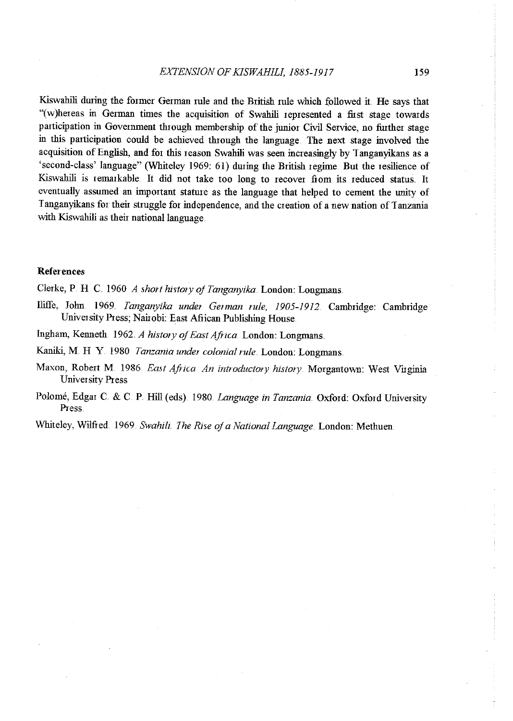Kiswahili during the former German rule and the British rule which followed it. He says that "(w)hereas in German times the acquisition of Swahili represented a first stage towards participation in Government through membership of the junior Civil Service, no further stage in this participation could be achieved through the language. The next stage involved the acquisition of English, and for this reason Swahili was seen increasingly by Tanganyikans as a 'second-class' language" (Whiteley 1969: 61) during the British regime. But the resilience of Kiswahili is remarkable. It did not take too long to recover fiom its reduced status. It eventually assumed an important stature as the language that helped to cement the unity of <sup>I</sup>anganyikans for their stmggle for independence, and the creation of a new nation of 1 anzania with Kiswahili as their national language.

#### References

Clerke, P H C 1960 *A short history of Tanganyika.* London: Longmans.

- Iliffe, John .. 1969. *Tanganyika under Ge1man rule, 1905-1912.* Cambridge: Cambridge University Press; Nairobi: East Afiican Publishing House.
- Ingham, Kenneth 1962. *A history of East Africa*. London: Longmans.
- Kaniki, M. H Y. 1980 *Tanzania under colonial rule* London: Longmans.
- **Maxon, Robert M. 1986. East Africa An introductory history. Morgantown: West Virginia** University Press
- Polomé, Edgar C. & C. P. Hill (eds). 1980. *Language in Tanzania*. Oxford: Oxford University Press.

Whiteley, Wilfied 1969 *Swahih The Rise of a National Language ..* London: Methuen